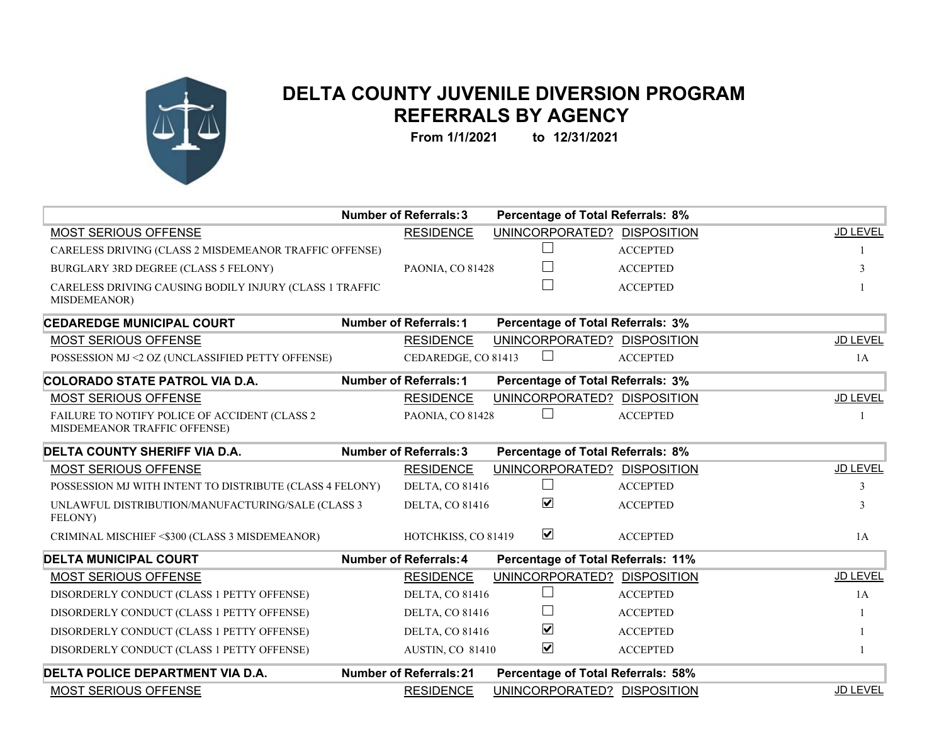

## **DELTA COUNTY JUVENILE DIVERSION PROGRAM REFERRALS BY AGENCY**

**From 1/1/2021 to 12/31/2021**

|                                                                               | <b>Number of Referrals: 3</b>  | <b>Percentage of Total Referrals: 8%</b> |                                    |                 |  |
|-------------------------------------------------------------------------------|--------------------------------|------------------------------------------|------------------------------------|-----------------|--|
| MOST SERIOUS OFFENSE                                                          | <b>RESIDENCE</b>               |                                          | UNINCORPORATED? DISPOSITION        | JD LEVEL        |  |
| CARELESS DRIVING (CLASS 2 MISDEMEANOR TRAFFIC OFFENSE)                        |                                |                                          | <b>ACCEPTED</b>                    |                 |  |
| BURGLARY 3RD DEGREE (CLASS 5 FELONY)                                          | PAONIA, CO 81428               |                                          | <b>ACCEPTED</b>                    | 3               |  |
| CARELESS DRIVING CAUSING BODILY INJURY (CLASS 1 TRAFFIC<br>MISDEMEANOR)       |                                |                                          | <b>ACCEPTED</b>                    |                 |  |
| <b>CEDAREDGE MUNICIPAL COURT</b>                                              | <b>Number of Referrals: 1</b>  | <b>Percentage of Total Referrals: 3%</b> |                                    |                 |  |
| MOST SERIOUS OFFENSE                                                          | <b>RESIDENCE</b>               |                                          | UNINCORPORATED? DISPOSITION        | JD LEVEL        |  |
| POSSESSION MJ <2 OZ (UNCLASSIFIED PETTY OFFENSE)                              | CEDAREDGE, CO 81413            |                                          | <b>ACCEPTED</b>                    | 1A              |  |
| COLORADO STATE PATROL VIA D.A.                                                | <b>Number of Referrals: 1</b>  | <b>Percentage of Total Referrals: 3%</b> |                                    |                 |  |
| MOST SERIOUS OFFENSE                                                          | <b>RESIDENCE</b>               |                                          | UNINCORPORATED? DISPOSITION        | JD LEVEL        |  |
| FAILURE TO NOTIFY POLICE OF ACCIDENT (CLASS 2<br>MISDEMEANOR TRAFFIC OFFENSE) | PAONIA, CO 81428               |                                          | <b>ACCEPTED</b>                    |                 |  |
| <b>DELTA COUNTY SHERIFF VIA D.A.</b>                                          | <b>Number of Referrals: 3</b>  | <b>Percentage of Total Referrals: 8%</b> |                                    |                 |  |
| MOST SERIOUS OFFENSE                                                          | <b>RESIDENCE</b>               |                                          | UNINCORPORATED? DISPOSITION        | JD LEVEL        |  |
| POSSESSION MJ WITH INTENT TO DISTRIBUTE (CLASS 4 FELONY)                      | <b>DELTA, CO 81416</b>         |                                          | <b>ACCEPTED</b>                    | 3               |  |
| UNLAWFUL DISTRIBUTION/MANUFACTURING/SALE (CLASS 3<br>FELONY)                  | <b>DELTA, CO 81416</b>         | $\blacktriangledown$                     | <b>ACCEPTED</b>                    | 3               |  |
| CRIMINAL MISCHIEF <\$300 (CLASS 3 MISDEMEANOR)                                | HOTCHKISS, CO 81419            | $\blacktriangledown$                     | <b>ACCEPTED</b>                    | 1A              |  |
| <b>DELTA MUNICIPAL COURT</b>                                                  | <b>Number of Referrals: 4</b>  |                                          | Percentage of Total Referrals: 11% |                 |  |
| MOST SERIOUS OFFENSE                                                          | <b>RESIDENCE</b>               |                                          | UNINCORPORATED? DISPOSITION        | JD LEVEL        |  |
| DISORDERLY CONDUCT (CLASS 1 PETTY OFFENSE)                                    | <b>DELTA, CO 81416</b>         |                                          | <b>ACCEPTED</b>                    | 1A              |  |
| DISORDERLY CONDUCT (CLASS 1 PETTY OFFENSE)                                    | <b>DELTA, CO 81416</b>         |                                          | <b>ACCEPTED</b>                    |                 |  |
| DISORDERLY CONDUCT (CLASS 1 PETTY OFFENSE)                                    | <b>DELTA, CO 81416</b>         | $\blacktriangledown$                     | <b>ACCEPTED</b>                    |                 |  |
| DISORDERLY CONDUCT (CLASS 1 PETTY OFFENSE)                                    | AUSTIN, CO 81410               | $\blacktriangledown$                     | <b>ACCEPTED</b>                    |                 |  |
| <b>DELTA POLICE DEPARTMENT VIA D.A.</b>                                       | <b>Number of Referrals: 21</b> |                                          | Percentage of Total Referrals: 58% |                 |  |
| <b>MOST SERIOUS OFFENSE</b>                                                   | <b>RESIDENCE</b>               |                                          | UNINCORPORATED? DISPOSITION        | <b>JD LEVEL</b> |  |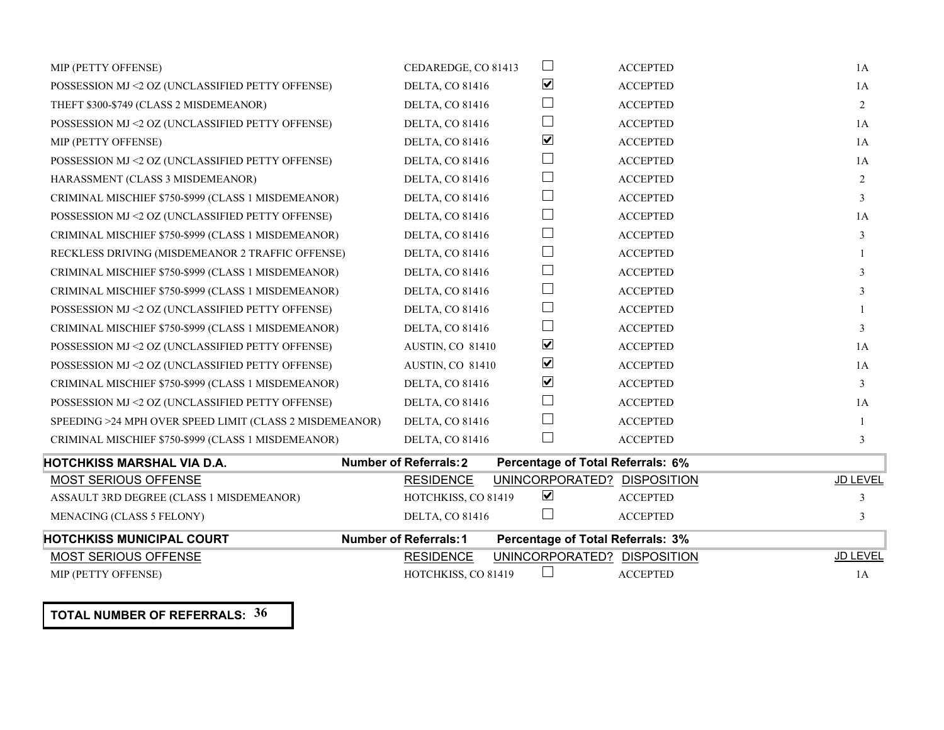| MIP (PETTY OFFENSE)                                     | CEDAREDGE, CO 81413           | $\Box$                            | <b>ACCEPTED</b>             | 1A              |
|---------------------------------------------------------|-------------------------------|-----------------------------------|-----------------------------|-----------------|
| POSSESSION MJ <2 OZ (UNCLASSIFIED PETTY OFFENSE)        | <b>DELTA, CO 81416</b>        | $\blacktriangledown$              | <b>ACCEPTED</b>             | 1A              |
| THEFT \$300-\$749 (CLASS 2 MISDEMEANOR)                 | <b>DELTA, CO 81416</b>        | $\mathsf{I}$                      | <b>ACCEPTED</b>             | 2               |
| POSSESSION MJ <2 OZ (UNCLASSIFIED PETTY OFFENSE)        | <b>DELTA, CO 81416</b>        | $\mathbf{L}$                      | <b>ACCEPTED</b>             | 1A              |
| MIP (PETTY OFFENSE)                                     | <b>DELTA, CO 81416</b>        | $\blacktriangledown$              | <b>ACCEPTED</b>             | 1A              |
| POSSESSION MJ <2 OZ (UNCLASSIFIED PETTY OFFENSE)        | <b>DELTA, CO 81416</b>        | $\mathsf{L}$                      | <b>ACCEPTED</b>             | 1A              |
| HARASSMENT (CLASS 3 MISDEMEANOR)                        | <b>DELTA, CO 81416</b>        | $\Box$                            | <b>ACCEPTED</b>             | 2               |
| CRIMINAL MISCHIEF \$750-\$999 (CLASS 1 MISDEMEANOR)     | <b>DELTA, CO 81416</b>        | $\mathbb{R}^n$                    | <b>ACCEPTED</b>             | 3               |
| POSSESSION MJ <2 OZ (UNCLASSIFIED PETTY OFFENSE)        | <b>DELTA, CO 81416</b>        | $\Box$                            | <b>ACCEPTED</b>             | 1A              |
| CRIMINAL MISCHIEF \$750-\$999 (CLASS 1 MISDEMEANOR)     | <b>DELTA, CO 81416</b>        | $\Box$                            | <b>ACCEPTED</b>             | 3               |
| RECKLESS DRIVING (MISDEMEANOR 2 TRAFFIC OFFENSE)        | <b>DELTA, CO 81416</b>        | $\mathbb{R}^n$                    | <b>ACCEPTED</b>             |                 |
| CRIMINAL MISCHIEF \$750-\$999 (CLASS 1 MISDEMEANOR)     | <b>DELTA, CO 81416</b>        | $\mathbb{R}^n$                    | <b>ACCEPTED</b>             | 3               |
| CRIMINAL MISCHIEF \$750-\$999 (CLASS 1 MISDEMEANOR)     | <b>DELTA, CO 81416</b>        | $\Box$                            | <b>ACCEPTED</b>             |                 |
| POSSESSION MJ <2 OZ (UNCLASSIFIED PETTY OFFENSE)        | <b>DELTA, CO 81416</b>        | $\vert \ \ \vert$                 | <b>ACCEPTED</b>             |                 |
| CRIMINAL MISCHIEF \$750-\$999 (CLASS 1 MISDEMEANOR)     | <b>DELTA, CO 81416</b>        | $\mathbf{L}$                      | <b>ACCEPTED</b>             | 3               |
| POSSESSION MJ <2 OZ (UNCLASSIFIED PETTY OFFENSE)        | AUSTIN, CO 81410              | $\blacktriangledown$              | <b>ACCEPTED</b>             | 1A              |
| POSSESSION MJ <2 OZ (UNCLASSIFIED PETTY OFFENSE)        | AUSTIN, CO 81410              | $\blacktriangledown$              | <b>ACCEPTED</b>             | 1A              |
| CRIMINAL MISCHIEF \$750-\$999 (CLASS 1 MISDEMEANOR)     | <b>DELTA, CO 81416</b>        | $\overline{\mathbf{v}}$           | <b>ACCEPTED</b>             | 3               |
| POSSESSION MJ <2 OZ (UNCLASSIFIED PETTY OFFENSE)        | <b>DELTA, CO 81416</b>        | $\mathbb{R}^n$                    | <b>ACCEPTED</b>             | 1A              |
| SPEEDING >24 MPH OVER SPEED LIMIT (CLASS 2 MISDEMEANOR) | <b>DELTA, CO 81416</b>        | $\vert \ \ \vert$                 | <b>ACCEPTED</b>             |                 |
| CRIMINAL MISCHIEF \$750-\$999 (CLASS 1 MISDEMEANOR)     | <b>DELTA, CO 81416</b>        | $\mathbb{R}^n$                    | <b>ACCEPTED</b>             | 3               |
| HOTCHKISS MARSHAL VIA D.A.                              | <b>Number of Referrals: 2</b> | Percentage of Total Referrals: 6% |                             |                 |
| <b>MOST SERIOUS OFFENSE</b>                             | <b>RESIDENCE</b>              |                                   | UNINCORPORATED? DISPOSITION | <b>JD LEVEL</b> |
| ASSAULT 3RD DEGREE (CLASS 1 MISDEMEANOR)                | HOTCHKISS, CO 81419           | $\blacktriangledown$              | <b>ACCEPTED</b>             | 3               |
| MENACING (CLASS 5 FELONY)                               | <b>DELTA, CO 81416</b>        |                                   | <b>ACCEPTED</b>             | 3               |
| <b>HOTCHKISS MUNICIPAL COURT</b>                        | <b>Number of Referrals: 1</b> | Percentage of Total Referrals: 3% |                             |                 |
| <b>MOST SERIOUS OFFENSE</b>                             | <b>RESIDENCE</b>              |                                   | UNINCORPORATED? DISPOSITION | JD LEVEL        |
| MIP (PETTY OFFENSE)                                     | HOTCHKISS, CO 81419           |                                   | <b>ACCEPTED</b>             | 1A              |

**TOTAL NUMBER OF REFERRALS: 36**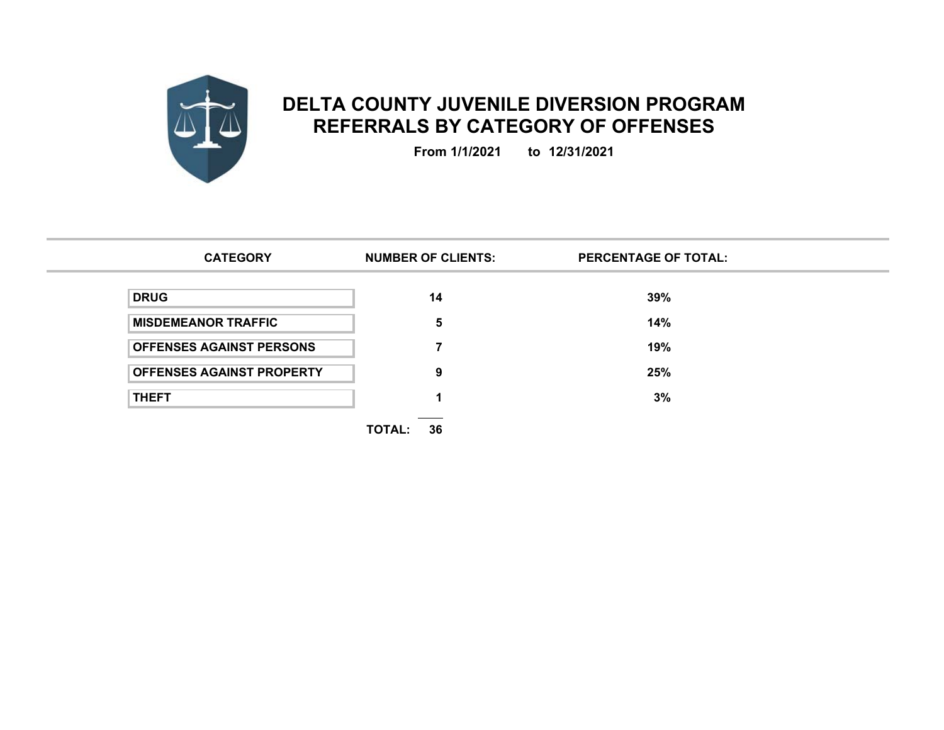

## **DELTA COUNTY JUVENILE DIVERSION PROGRAM REFERRALS BY CATEGORY OF OFFENSES**

**From 1/1/2021 to 12/31/2021**

| <b>CATEGORY</b>                  | <b>NUMBER OF CLIENTS:</b> | <b>PERCENTAGE OF TOTAL:</b> |  |
|----------------------------------|---------------------------|-----------------------------|--|
| <b>DRUG</b>                      | 14                        | 39%                         |  |
| <b>MISDEMEANOR TRAFFIC</b>       | 5                         | 14%                         |  |
| <b>OFFENSES AGAINST PERSONS</b>  |                           | 19%                         |  |
| <b>OFFENSES AGAINST PROPERTY</b> | 9                         | 25%                         |  |
| <b>THEFT</b>                     |                           | 3%                          |  |
|                                  | 36<br>TOTAL:              |                             |  |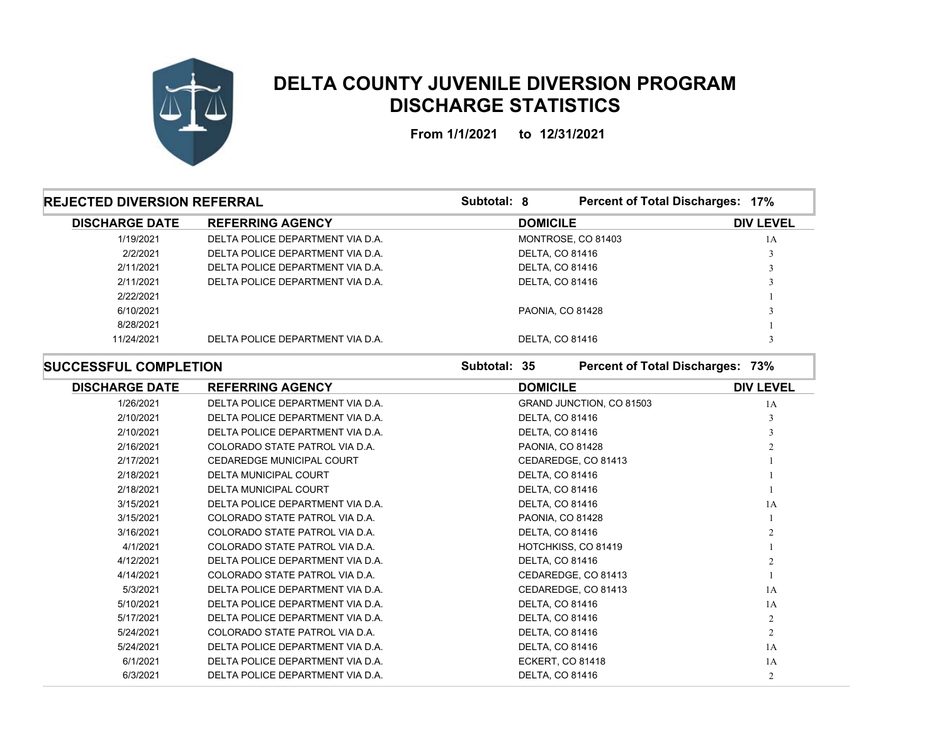

## **DELTA COUNTY JUVENILE DIVERSION PROGRAM DISCHARGE STATISTICS**

**From 1/1/2021 to 12/31/2021**

| <b>REJECTED DIVERSION REFERRAL</b> |                                  | Subtotal: 8     |                         | Percent of Total Discharges: 17% |  |
|------------------------------------|----------------------------------|-----------------|-------------------------|----------------------------------|--|
| <b>DISCHARGE DATE</b>              | <b>REFERRING AGENCY</b>          | <b>DOMICILE</b> |                         | <b>DIV LEVEL</b>                 |  |
| 1/19/2021                          | DELTA POLICE DEPARTMENT VIA D.A. |                 | MONTROSE, CO 81403      | 1A                               |  |
| 2/2/2021                           | DELTA POLICE DEPARTMENT VIA D.A. |                 | <b>DELTA, CO 81416</b>  |                                  |  |
| 2/11/2021                          | DELTA POLICE DEPARTMENT VIA D.A. |                 | <b>DELTA, CO 81416</b>  |                                  |  |
| 2/11/2021                          | DELTA POLICE DEPARTMENT VIA D.A. |                 | <b>DELTA, CO 81416</b>  |                                  |  |
| 2/22/2021                          |                                  |                 |                         |                                  |  |
| 6/10/2021                          |                                  |                 | <b>PAONIA, CO 81428</b> |                                  |  |
| 8/28/2021                          |                                  |                 |                         |                                  |  |
| 11/24/2021                         | DELTA POLICE DEPARTMENT VIA D.A. |                 | <b>DELTA, CO 81416</b>  |                                  |  |

**SUCCESSFUL COMPLETION**

**Subtotal: 35**

**Percent of Total Discharges: 73%**

| <b>DISCHARGE DATE</b> | <b>REFERRING AGENCY</b>          | <b>DOMICILE</b>          | <b>DIV LEVEL</b> |
|-----------------------|----------------------------------|--------------------------|------------------|
| 1/26/2021             | DELTA POLICE DEPARTMENT VIA D.A. | GRAND JUNCTION, CO 81503 | 1A               |
| 2/10/2021             | DELTA POLICE DEPARTMENT VIA D.A. | <b>DELTA, CO 81416</b>   |                  |
| 2/10/2021             | DELTA POLICE DEPARTMENT VIA D.A. | <b>DELTA, CO 81416</b>   |                  |
| 2/16/2021             | COLORADO STATE PATROL VIA D.A.   | PAONIA, CO 81428         |                  |
| 2/17/2021             | <b>CEDAREDGE MUNICIPAL COURT</b> | CEDAREDGE, CO 81413      |                  |
| 2/18/2021             | <b>DELTA MUNICIPAL COURT</b>     | <b>DELTA, CO 81416</b>   |                  |
| 2/18/2021             | <b>DELTA MUNICIPAL COURT</b>     | <b>DELTA, CO 81416</b>   |                  |
| 3/15/2021             | DELTA POLICE DEPARTMENT VIA D.A. | <b>DELTA, CO 81416</b>   | 1A               |
| 3/15/2021             | COLORADO STATE PATROL VIA D.A.   | PAONIA, CO 81428         |                  |
| 3/16/2021             | COLORADO STATE PATROL VIA D.A.   | <b>DELTA, CO 81416</b>   |                  |
| 4/1/2021              | COLORADO STATE PATROL VIA D.A.   | HOTCHKISS, CO 81419      |                  |
| 4/12/2021             | DELTA POLICE DEPARTMENT VIA D.A. | <b>DELTA, CO 81416</b>   |                  |
| 4/14/2021             | COLORADO STATE PATROL VIA D.A.   | CEDAREDGE, CO 81413      |                  |
| 5/3/2021              | DELTA POLICE DEPARTMENT VIA D.A. | CEDAREDGE, CO 81413      | 1A               |
| 5/10/2021             | DELTA POLICE DEPARTMENT VIA D.A. | <b>DELTA, CO 81416</b>   | 1A               |
| 5/17/2021             | DELTA POLICE DEPARTMENT VIA D.A. | <b>DELTA, CO 81416</b>   | $\overline{2}$   |
| 5/24/2021             | COLORADO STATE PATROL VIA D.A.   | <b>DELTA, CO 81416</b>   | $\overline{2}$   |
| 5/24/2021             | DELTA POLICE DEPARTMENT VIA D.A. | <b>DELTA, CO 81416</b>   | 1A               |
| 6/1/2021              | DELTA POLICE DEPARTMENT VIA D.A. | ECKERT, CO 81418         | 1A               |
| 6/3/2021              | DELTA POLICE DEPARTMENT VIA D.A. | <b>DELTA, CO 81416</b>   | $\overline{2}$   |